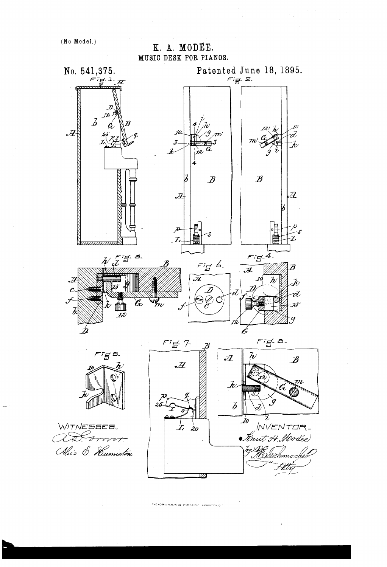

THE NORRIS PETERS CO., PHOTO-LITHOL, WISHINGTON, D. C.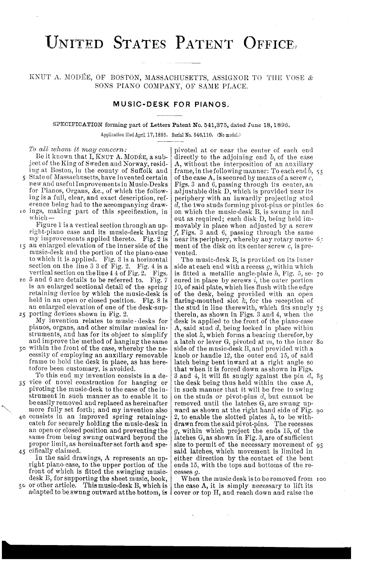# UNITED STATES PATENT OFFICE,

## KNUT. A. MODEE, OF BOSTON, MASSACHUSETTS, ASSIGNOR TO TIIE VOSE & SONS PIANO COMPANY, OF SAME PLACE.

### MUSIC-DESK FOR PIANOS.

#### SECIFICATION forming part of Letters Patent No. 541,875, dated June 18, 1895.

Application filed April 17, 1895, Serial No. 546,110, (No model.)

Be it known that I, KNUT A. MODÉE, a sub-<br>ject of the King of Sweden and Norway, resid-<br>A, without the interposition of an auxiliary<br>ing at Boston, in the county of Suffolk and<br>frame, in the following manner: To each end

- music-desk and the portion of the piano-case vented.<br>to which it is applied. Fig. 3 is a horizontal The music-desk B, is provided on its inner to which it is applied. Fig. 3 is a horizontal The music-desk B, is provided on its inner section on the line 3 3 of Fig. 2. Fig. 4 is a side at each end with a recess g, within which
- is an enlarged sectional detail of the spring  $\begin{bmatrix} 10, 0 \text{ f said plate, which lies flush with the edge  
retaining device by which the music-desk is  
held in an open or closed position. Fig. 8 is  
an enlarged elevation of one of the desk-sup-  
the stud in line there with, which fits snugly$

pianos, organs, and other similar musical in  $\begin{bmatrix} 1 & 2 & 3 & 5 & 6 \\ 4 & 5 & 6 & 6 & 6 \\ 7 & 8 & 8 & 6 & 6 \\ 8 & 9 & 10 & 6 & 6 \\ 9 & 10 & 10 & 6 & 6 \\ 10 & 10 & 10 & 6 & 6 \\ 11 & 10 & 10 & 6 & 6 \\ 11 & 10 & 10 & 6 & 6 \\ 11 & 11 & 10 & 10 & 6 \\ 11 & 10 & 10 & 10 & 6$ 

cessity of employing an auxiliary removable  $\vert$  knob or handle 12, the outer end 15, of said frame to hold the desk in place, as has here- latch being bent inward at a right angle so frame to hold the desk in place, as has here-<br>tofore been customary, is avoided.

pivoting the music-desk to the case of the in-<br>strument in such manner as to enable it to on the studs or pivot-pins d, but cannot be<br>be easily removed and replaced as hereinafter removed until the latches G, are swung up caten for securely holding the music-desk in  $\vert$  drawn from the said pivot-pins. The recesses an open or closed position and preventing the  $g$ , within which project the ends 15, of the same from being swung outward beyond the latenes  $G$ , as shown in Fig. 3, are of sufficient

right piano case, to the upper portion of the  $|$  ends 15, with the tops and bottoms of the refront of which is fitted the swinging music- cesses  $g$ .

adapted to be swung outward at the bottom, is leover or top H, and reach down and raise the

State of Massachusetts, have invented certain | of the case A, is secured by means of a screw  $c$ ,<br>new and useful Improvements in Music-Desks | Figs. 3 and 6, passing through its center, an for Pianos, Organs, &c., of which the follow- adjustable disk D, which is provided near its<br>ing is a full, clear, and exact description, ref-<br>eriphery with an inwardly projecting stud<br>erence being had to the accompanying erence being had to the accompanying draw-  $d$ , the two studs forming pivot-pins or pintles 60<br>10 ings, making part of this specification, in on which the music-desk B, is swung in and ings, making part of this specification, in on which the music-desk B, is swung in and which -<br>out as required; each disk D, being held im-Figure 1 is a vertical section through an up-<br>right-piano case and its music-desk having  $f$ , Figs. 3 and 6, passing through the same<br>my improvements applied thereto. Fig. 2 is near its periphery, whereby any rotary move-To all whom it may concern:  $\vert$  pivoted at or near the center of each end frame, in the following manner: To each end  $\overline{b}$ , 55

vertical section on the line 4 4 of Fig. 2. Figs. is fitted a metallic angle-plate h, Fig. 5, se- 70  $5$  and 6 are details to be referred to. Fig. 7 eured in place by screws i, the outer portion an enlarged elevation of one of the desk-sup- the stud in line there with, which fits snugly 75<br>25 porting devices shown in Fig. 2. porting devices shown in Fig. 2.  $\int$  therein, as shown in Figs. 3 and 4, when the My invention relates to music desks for desk is applied to the front of the piano case and improve the method of hanging the same  $|$  a latch or lever G, pivoted at  $m$ , to the inner 80 30 within the front of the case, whereby the ne- side of the music-desk B, and provided with a To this end my invention consists in a de-  $\beta$  and 4, it will fit snugly against the pin d, 85 vice of novel construction for hanging or the desk being thus held within the case A, proper limit, as hereinafter set forth and spe-size to permit of the necessary movement of 95  $45$  cifically claimed. fically claimed.<br>In the said drawings, A represents an up- either direction by the contact of the bent

desk B, for supporting the sheet music, book, When the music desk is to be removed from 100<br>50 or other article. This music-desk B, which is the case A, it is simply necessary to lift its